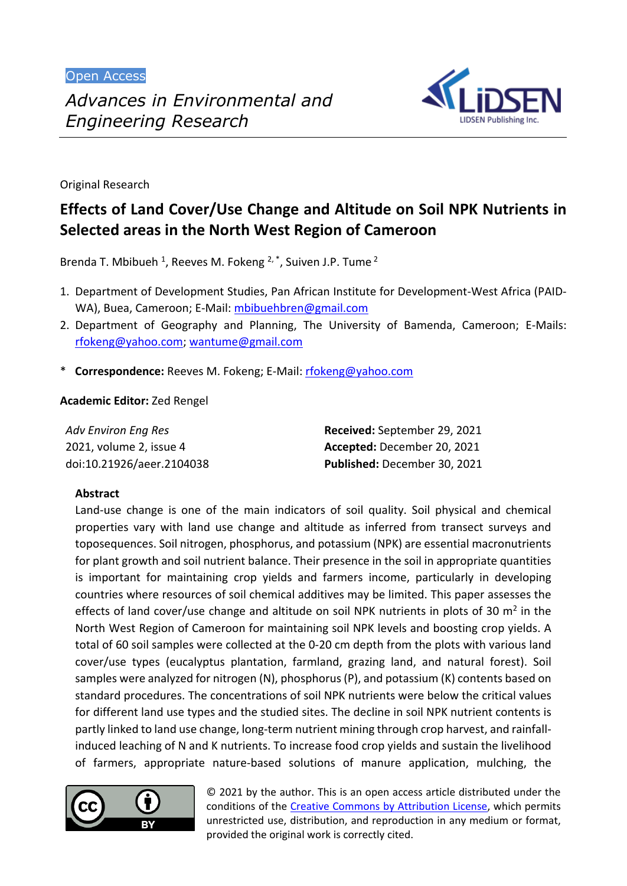Open Access



Original Research

# **Effects of Land Cover/Use Change and Altitude on Soil NPK Nutrients in Selected areas in the North West Region of Cameroon**

Brenda T. Mbibueh <sup>1</sup>, Reeves M. Fokeng  $2, *$ , Suiven J.P. Tume  $2$ 

- 1. Department of Development Studies, Pan African Institute for Development-West Africa (PAID-WA), Buea, Cameroon; E-Mail: [mbibuehbren@gmail.com](mailto:mbibuehbren@gmail.com)
- 2. Department of Geography and Planning, The University of Bamenda, Cameroon; E-Mails: [rfokeng@yahoo.com;](mailto:rfokeng@yahoo.com) [wantume@gmail.com](mailto:wantume@gmail.com)
- \* **Correspondence:** Reeves M. Fokeng; E-Mail: [rfokeng@yahoo.com](mailto:rfokeng@yahoo.com)

**Academic Editor:** Zed Rengel

| Adv Environ Eng Res       | Received: September 29, 2021 |
|---------------------------|------------------------------|
| 2021, volume 2, issue 4   | Accepted: December 20, 2021  |
| doi:10.21926/aeer.2104038 | Published: December 30, 2021 |

# **Abstract**

Land-use change is one of the main indicators of soil quality. Soil physical and chemical properties vary with land use change and altitude as inferred from transect surveys and toposequences. Soil nitrogen, phosphorus, and potassium (NPK) are essential macronutrients for plant growth and soil nutrient balance. Their presence in the soil in appropriate quantities is important for maintaining crop yields and farmers income, particularly in developing countries where resources of soil chemical additives may be limited. This paper assesses the effects of land cover/use change and altitude on soil NPK nutrients in plots of 30  $m<sup>2</sup>$  in the North West Region of Cameroon for maintaining soil NPK levels and boosting crop yields. A total of 60 soil samples were collected at the 0-20 cm depth from the plots with various land cover/use types (eucalyptus plantation, farmland, grazing land, and natural forest). Soil samples were analyzed for nitrogen (N), phosphorus (P), and potassium (K) contents based on standard procedures. The concentrations of soil NPK nutrients were below the critical values for different land use types and the studied sites. The decline in soil NPK nutrient contents is partly linked to land use change, long-term nutrient mining through crop harvest, and rainfallinduced leaching of N and K nutrients. To increase food crop yields and sustain the livelihood of farmers, appropriate nature-based solutions of manure application, mulching, the



© 2021 by the author. This is an open access article distributed under the conditions of the [Creative Commons by Attribution License,](http://creativecommons.org/licenses/by/4.0/) which permits unrestricted use, distribution, and reproduction in any medium or format, provided the original work is correctly cited.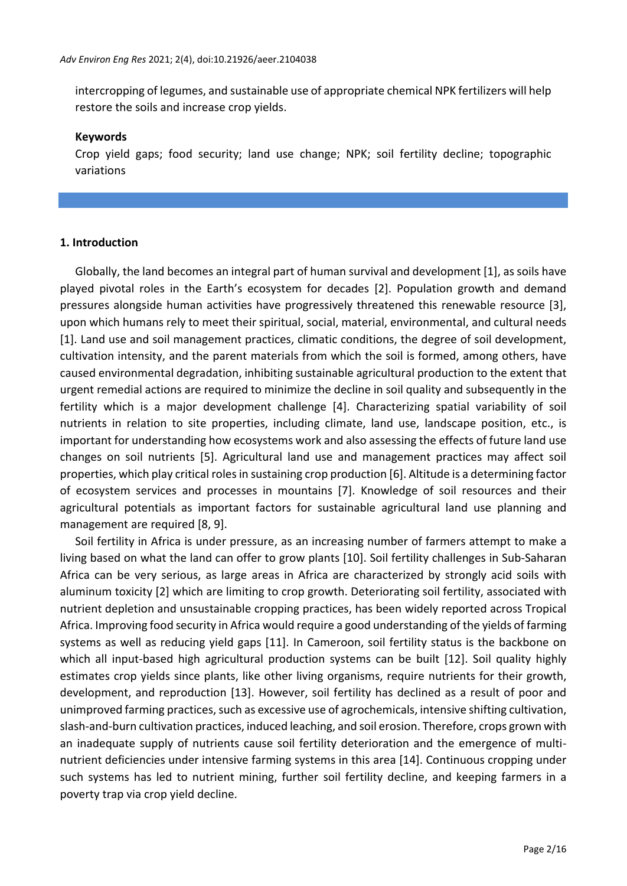intercropping of legumes, and sustainable use of appropriate chemical NPK fertilizers will help restore the soils and increase crop yields.

#### **Keywords**

Crop yield gaps; food security; land use change; NPK; soil fertility decline; topographic variations

### **1. Introduction**

Globally, the land becomes an integral part of human survival and development [1], as soils have played pivotal roles in the Earth's ecosystem for decades [2]. Population growth and demand pressures alongside human activities have progressively threatened this renewable resource [3], upon which humans rely to meet their spiritual, social, material, environmental, and cultural needs [1]. Land use and soil management practices, climatic conditions, the degree of soil development, cultivation intensity, and the parent materials from which the soil is formed, among others, have caused environmental degradation, inhibiting sustainable agricultural production to the extent that urgent remedial actions are required to minimize the decline in soil quality and subsequently in the fertility which is a major development challenge [4]. Characterizing spatial variability of soil nutrients in relation to site properties, including climate, land use, landscape position, etc., is important for understanding how ecosystems work and also assessing the effects of future land use changes on soil nutrients [5]. Agricultural land use and management practices may affect soil properties, which play critical rolesin sustaining crop production [6]. Altitude is a determining factor of ecosystem services and processes in mountains [7]. Knowledge of soil resources and their agricultural potentials as important factors for sustainable agricultural land use planning and management are required [8, 9].

Soil fertility in Africa is under pressure, as an increasing number of farmers attempt to make a living based on what the land can offer to grow plants [10]. Soil fertility challenges in Sub-Saharan Africa can be very serious, as large areas in Africa are characterized by strongly acid soils with aluminum toxicity [2] which are limiting to crop growth. Deteriorating soil fertility, associated with nutrient depletion and unsustainable cropping practices, has been widely reported across Tropical Africa. Improving food security in Africa would require a good understanding of the yields of farming systems as well as reducing yield gaps [11]. In Cameroon, soil fertility status is the backbone on which all input-based high agricultural production systems can be built [12]. Soil quality highly estimates crop yields since plants, like other living organisms, require nutrients for their growth, development, and reproduction [13]. However, soil fertility has declined as a result of poor and unimproved farming practices, such as excessive use of agrochemicals, intensive shifting cultivation, slash-and-burn cultivation practices, induced leaching, and soil erosion. Therefore, crops grown with an inadequate supply of nutrients cause soil fertility deterioration and the emergence of multinutrient deficiencies under intensive farming systems in this area [14]. Continuous cropping under such systems has led to nutrient mining, further soil fertility decline, and keeping farmers in a poverty trap via crop yield decline.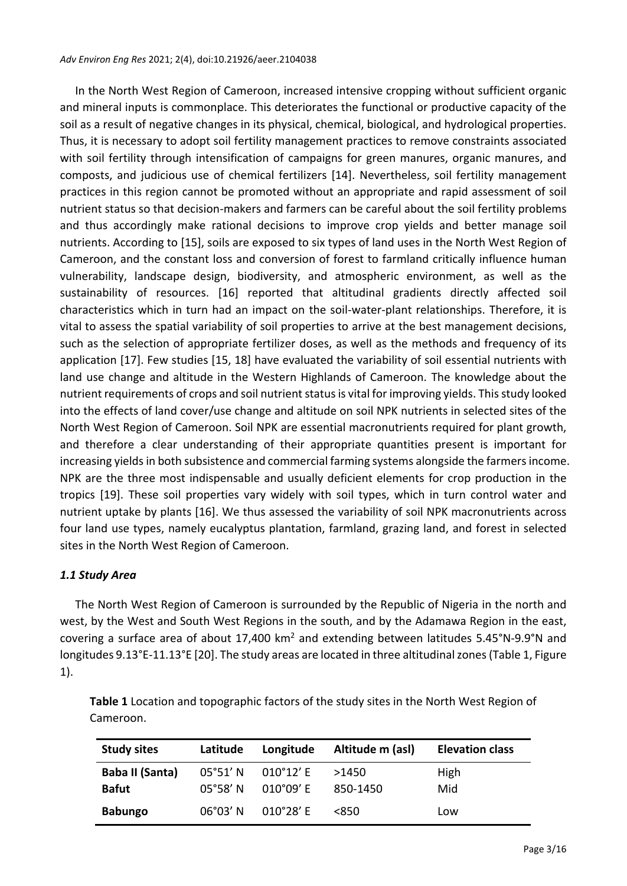In the North West Region of Cameroon, increased intensive cropping without sufficient organic and mineral inputs is commonplace. This deteriorates the functional or productive capacity of the soil as a result of negative changes in its physical, chemical, biological, and hydrological properties. Thus, it is necessary to adopt soil fertility management practices to remove constraints associated with soil fertility through intensification of campaigns for green manures, organic manures, and composts, and judicious use of chemical fertilizers [14]. Nevertheless, soil fertility management practices in this region cannot be promoted without an appropriate and rapid assessment of soil nutrient status so that decision-makers and farmers can be careful about the soil fertility problems and thus accordingly make rational decisions to improve crop yields and better manage soil nutrients. According to [15], soils are exposed to six types of land uses in the North West Region of Cameroon, and the constant loss and conversion of forest to farmland critically influence human vulnerability, landscape design, biodiversity, and atmospheric environment, as well as the sustainability of resources. [16] reported that altitudinal gradients directly affected soil characteristics which in turn had an impact on the soil-water-plant relationships. Therefore, it is vital to assess the spatial variability of soil properties to arrive at the best management decisions, such as the selection of appropriate fertilizer doses, as well as the methods and frequency of its application [17]. Few studies [15, 18] have evaluated the variability of soil essential nutrients with land use change and altitude in the Western Highlands of Cameroon. The knowledge about the nutrient requirements of crops and soil nutrient status is vital for improving yields. This study looked into the effects of land cover/use change and altitude on soil NPK nutrients in selected sites of the North West Region of Cameroon. Soil NPK are essential macronutrients required for plant growth, and therefore a clear understanding of their appropriate quantities present is important for increasing yields in both subsistence and commercial farming systems alongside the farmers income. NPK are the three most indispensable and usually deficient elements for crop production in the tropics [19]. These soil properties vary widely with soil types, which in turn control water and nutrient uptake by plants [16]. We thus assessed the variability of soil NPK macronutrients across four land use types, namely eucalyptus plantation, farmland, grazing land, and forest in selected sites in the North West Region of Cameroon.

### *1.1 Study Area*

The North West Region of Cameroon is surrounded by the Republic of Nigeria in the north and west, by the West and South West Regions in the south, and by the Adamawa Region in the east, covering a surface area of about 17,400 km<sup>2</sup> and extending between latitudes 5.45°N-9.9°N and longitudes 9.13°E-11.13°E [20]. The study areas are located in three altitudinal zones (Table 1, Figure 1).

| <b>Study sites</b> | Latitude          | Longitude          | Altitude m (asl) | <b>Elevation class</b> |
|--------------------|-------------------|--------------------|------------------|------------------------|
| Baba II (Santa)    | 05°51' N          | $010^{\circ}12'$ E | >1450            | High                   |
| <b>Bafut</b>       | $05^{\circ}58'$ N | $010^{\circ}09'$ E | 850-1450         | Mid                    |
| <b>Babungo</b>     | $06^{\circ}03'$ N | $010^{\circ}28'$ E | <850             | Low                    |

**Table 1** Location and topographic factors of the study sites in the North West Region of Cameroon.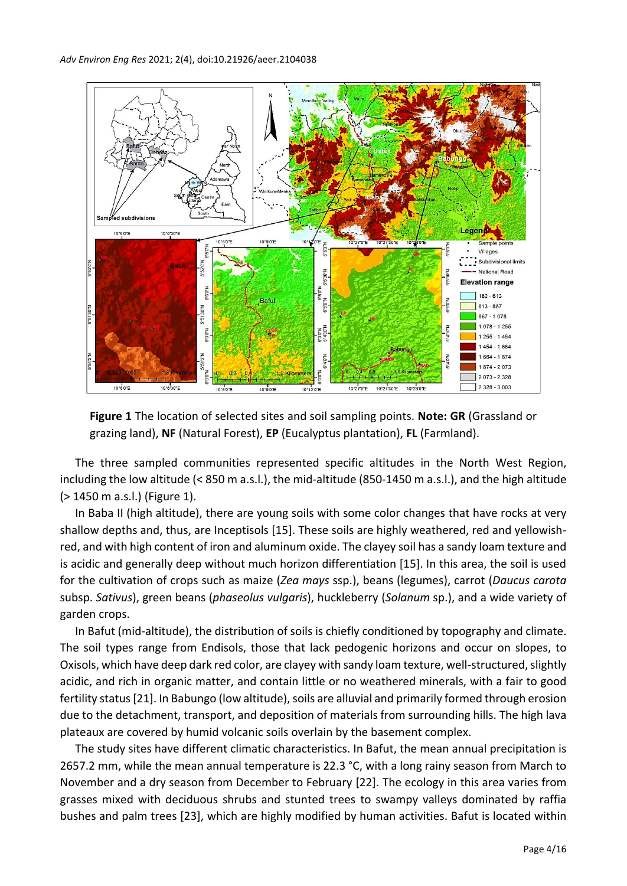

**Figure 1** The location of selected sites and soil sampling points. **Note: GR** (Grassland or grazing land), **NF** (Natural Forest), **EP** (Eucalyptus plantation), **FL** (Farmland).

The three sampled communities represented specific altitudes in the North West Region, including the low altitude (< 850 m a.s.l.), the mid-altitude (850-1450 m a.s.l.), and the high altitude (˃ 1450 m a.s.l.) (Figure 1).

In Baba II (high altitude), there are young soils with some color changes that have rocks at very shallow depths and, thus, are Inceptisols [15]. These soils are highly weathered, red and yellowishred, and with high content of iron and aluminum oxide. The clayey soil has a sandy loam texture and is acidic and generally deep without much horizon differentiation [15]. In this area, the soil is used for the cultivation of crops such as maize (*Zea mays* ssp.), beans (legumes), carrot (*Daucus carota* subsp. *Sativus*), green beans (*phaseolus vulgaris*), huckleberry (*Solanum* sp.), and a wide variety of garden crops.

In Bafut (mid-altitude), the distribution of soils is chiefly conditioned by topography and climate. The soil types range from Endisols, those that lack pedogenic horizons and occur on slopes, to Oxisols, which have deep dark red color, are clayey with sandy loam texture, well-structured, slightly acidic, and rich in organic matter, and contain little or no weathered minerals, with a fair to good fertility status [21]. In Babungo (low altitude), soils are alluvial and primarily formed through erosion due to the detachment, transport, and deposition of materials from surrounding hills. The high lava plateaux are covered by humid volcanic soils overlain by the basement complex.

The study sites have different climatic characteristics. In Bafut, the mean annual precipitation is 2657.2 mm, while the mean annual temperature is 22.3 °C, with a long rainy season from March to November and a dry season from December to February [22]. The ecology in this area varies from grasses mixed with deciduous shrubs and stunted trees to swampy valleys dominated by raffia bushes and palm trees [23], which are highly modified by human activities. Bafut is located within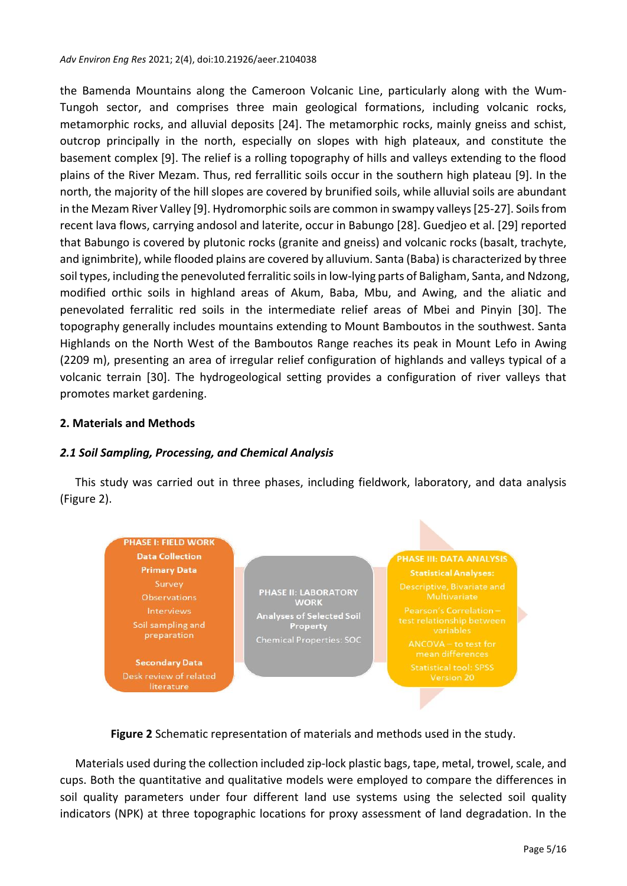the Bamenda Mountains along the Cameroon Volcanic Line, particularly along with the Wum-Tungoh sector, and comprises three main geological formations, including volcanic rocks, metamorphic rocks, and alluvial deposits [24]. The metamorphic rocks, mainly gneiss and schist, outcrop principally in the north, especially on slopes with high plateaux, and constitute the basement complex [9]. The relief is a rolling topography of hills and valleys extending to the flood plains of the River Mezam. Thus, red ferrallitic soils occur in the southern high plateau [9]. In the north, the majority of the hill slopes are covered by brunified soils, while alluvial soils are abundant in the Mezam River Valley [9]. Hydromorphic soils are common in swampy valleys [25-27]. Soils from recent lava flows, carrying andosol and laterite, occur in Babungo [28]. Guedjeo et al. [29] reported that Babungo is covered by plutonic rocks (granite and gneiss) and volcanic rocks (basalt, trachyte, and ignimbrite), while flooded plains are covered by alluvium. Santa (Baba) is characterized by three soil types, including the penevoluted ferralitic soils in low-lying parts of Baligham, Santa, and Ndzong, modified orthic soils in highland areas of Akum, Baba, Mbu, and Awing, and the aliatic and penevolated ferralitic red soils in the intermediate relief areas of Mbei and Pinyin [30]. The topography generally includes mountains extending to Mount Bamboutos in the southwest. Santa Highlands on the North West of the Bamboutos Range reaches its peak in Mount Lefo in Awing (2209 m), presenting an area of irregular relief configuration of highlands and valleys typical of a volcanic terrain [30]. The hydrogeological setting provides a configuration of river valleys that promotes market gardening.

## **2. Materials and Methods**

### *2.1 Soil Sampling, Processing, and Chemical Analysis*

This study was carried out in three phases, including fieldwork, laboratory, and data analysis (Figure 2).



**Figure 2** Schematic representation of materials and methods used in the study.

Materials used during the collection included zip-lock plastic bags, tape, metal, trowel, scale, and cups. Both the quantitative and qualitative models were employed to compare the differences in soil quality parameters under four different land use systems using the selected soil quality indicators (NPK) at three topographic locations for proxy assessment of land degradation. In the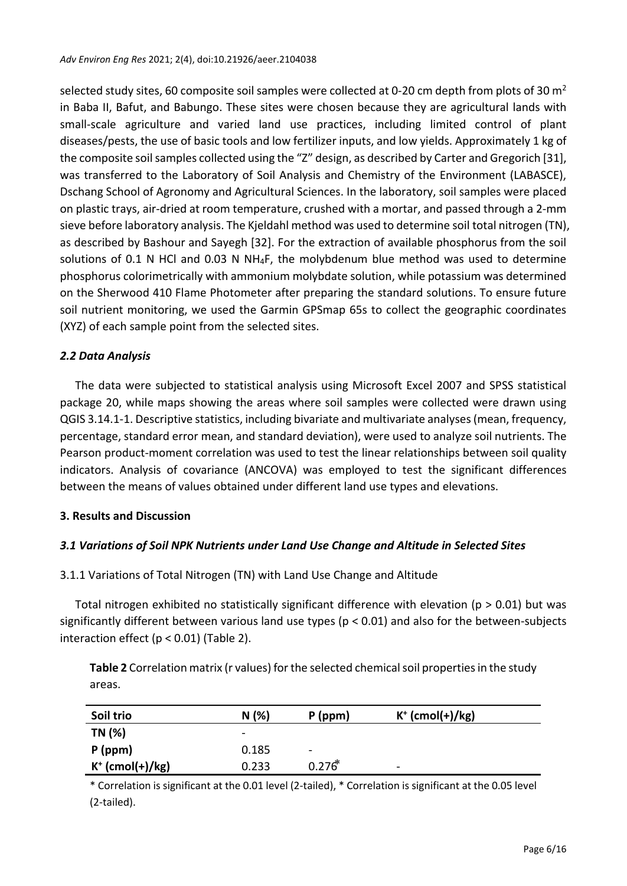selected study sites, 60 composite soil samples were collected at 0-20 cm depth from plots of 30  $m<sup>2</sup>$ in Baba II, Bafut, and Babungo. These sites were chosen because they are agricultural lands with small-scale agriculture and varied land use practices, including limited control of plant diseases/pests, the use of basic tools and low fertilizer inputs, and low yields. Approximately 1 kg of the composite soil samples collected using the "Z" design, as described by Carter and Gregorich [31], was transferred to the Laboratory of Soil Analysis and Chemistry of the Environment (LABASCE), Dschang School of Agronomy and Agricultural Sciences. In the laboratory, soil samples were placed on plastic trays, air-dried at room temperature, crushed with a mortar, and passed through a 2-mm sieve before laboratory analysis. The Kjeldahl method was used to determine soil total nitrogen (TN), as described by Bashour and Sayegh [32]. For the extraction of available phosphorus from the soil solutions of 0.1 N HCl and 0.03 N NH<sub>4</sub>F, the molybdenum blue method was used to determine phosphorus colorimetrically with ammonium molybdate solution, while potassium was determined on the Sherwood 410 Flame Photometer after preparing the standard solutions. To ensure future soil nutrient monitoring, we used the Garmin GPSmap 65s to collect the geographic coordinates (XYZ) of each sample point from the selected sites.

# *2.2 Data Analysis*

The data were subjected to statistical analysis using Microsoft Excel 2007 and SPSS statistical package 20, while maps showing the areas where soil samples were collected were drawn using QGIS 3.14.1-1. Descriptive statistics, including bivariate and multivariate analyses (mean, frequency, percentage, standard error mean, and standard deviation), were used to analyze soil nutrients. The Pearson product-moment correlation was used to test the linear relationships between soil quality indicators. Analysis of covariance (ANCOVA) was employed to test the significant differences between the means of values obtained under different land use types and elevations.

# **3. Results and Discussion**

# *3.1 Variations of Soil NPK Nutrients under Land Use Change and Altitude in Selected Sites*

# 3.1.1 Variations of Total Nitrogen (TN) with Land Use Change and Altitude

Total nitrogen exhibited no statistically significant difference with elevation ( $p > 0.01$ ) but was significantly different between various land use types (p < 0.01) and also for the between-subjects interaction effect (p < 0.01) (Table 2).

**Table 2** Correlation matrix (r values) for the selected chemical soil properties in the study areas.

| Soil trio          | N(%)                     | $P$ (ppm)                | $K^+$ (cmol(+)/kg)       |
|--------------------|--------------------------|--------------------------|--------------------------|
| TN (%)             | $\overline{\phantom{0}}$ |                          |                          |
| $P$ (ppm)          | 0.185                    | $\overline{\phantom{a}}$ |                          |
| $K^+$ (cmol(+)/kg) | 0.233                    | $0.276*$                 | $\overline{\phantom{0}}$ |

\* Correlation is significant at the 0.01 level (2-tailed), \* Correlation is significant at the 0.05 level (2-tailed).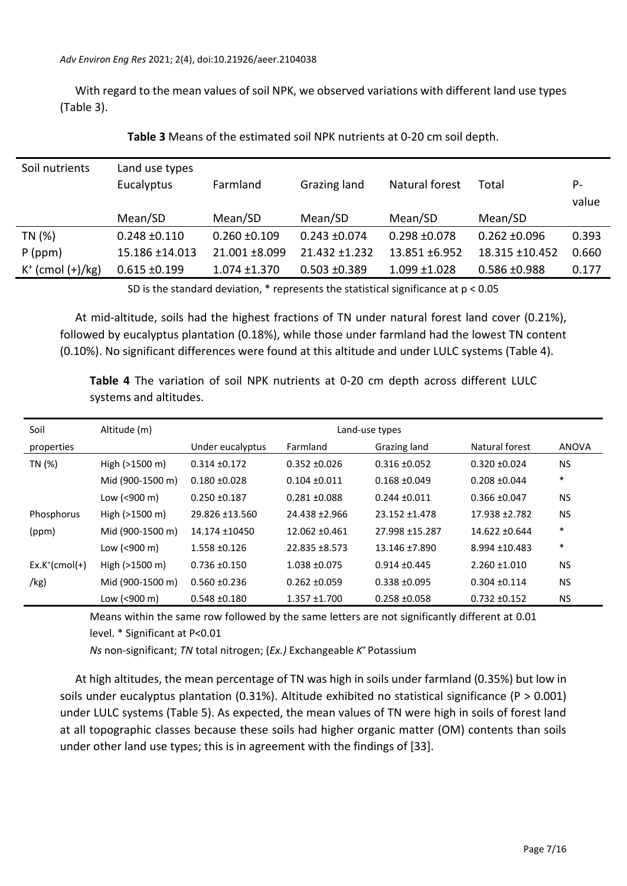With regard to the mean values of soil NPK, we observed variations with different land use types (Table 3).

| Soil nutrients         | Land use types    |                   |                   |                   |                   |       |
|------------------------|-------------------|-------------------|-------------------|-------------------|-------------------|-------|
|                        | Eucalyptus        | Farmland          | Grazing land      | Natural forest    | Total             | P-    |
|                        |                   |                   |                   |                   |                   | value |
|                        | Mean/SD           | Mean/SD           | Mean/SD           | Mean/SD           | Mean/SD           |       |
| TN (%)                 | $0.248 \pm 0.110$ | $0.260 \pm 0.109$ | $0.243 \pm 0.074$ | $0.298 \pm 0.078$ | $0.262 \pm 0.096$ | 0.393 |
| $P$ (ppm)              | 15.186 ±14.013    | 21.001 ±8.099     | 21.432 ±1.232     | 13.851 ±6.952     | 18.315 ±10.452    | 0.660 |
| $K^+$ (cmol $(+)/kg$ ) | $0.615 \pm 0.199$ | $1.074 \pm 1.370$ | $0.503 \pm 0.389$ | $1.099 \pm 1.028$ | $0.586 + 0.988$   | 0.177 |

**Table 3** Means of the estimated soil NPK nutrients at 0-20 cm soil depth.

SD is the standard deviation,  $*$  represents the statistical significance at  $p < 0.05$ 

At mid-altitude, soils had the highest fractions of TN under natural forest land cover (0.21%), followed by eucalyptus plantation (0.18%), while those under farmland had the lowest TN content (0.10%). No significant differences were found at this altitude and under LULC systems (Table 4).

| Soil                      | Altitude (m)             | Land-use types    |                   |                   |                   |              |  |
|---------------------------|--------------------------|-------------------|-------------------|-------------------|-------------------|--------------|--|
| properties                |                          | Under eucalyptus  | Farmland          | Grazing land      | Natural forest    | <b>ANOVA</b> |  |
| TN (%)                    | High (>1500 m)           | $0.314 \pm 0.172$ | $0.352 + 0.026$   | $0.316 \pm 0.052$ | $0.320 + 0.024$   | NS.          |  |
|                           | Mid (900-1500 m)         | $0.180 + 0.028$   | $0.104 \pm 0.011$ | $0.168 + 0.049$   | $0.208 + 0.044$   | $\ast$       |  |
|                           | Low (<900 m)             | $0.250 + 0.187$   | $0.281 + 0.088$   | $0.244 \pm 0.011$ | $0.366 \pm 0.047$ | <b>NS</b>    |  |
| Phosphorus                | High $(>1500 \text{ m})$ | 29.826 ±13.560    | 24.438 ±2.966     | 23.152 ±1.478     | 17.938 ± 2.782    | <b>NS</b>    |  |
| (ppm)                     | Mid (900-1500 m)         | 14.174 ±10450     | 12.062 ±0.461     | 27.998 ±15.287    | 14.622 ±0.644     | $\ast$       |  |
|                           | Low (<900 m)             | 1.558 ±0.126      | 22.835 ±8.573     | 13.146 ±7.890     | 8.994 ±10.483     | $\ast$       |  |
| $Ex.K^{\dagger}(cmol(+))$ | High (>1500 m)           | $0.736 \pm 0.150$ | 1.038 ±0.075      | $0.914 \pm 0.445$ | $2.260 + 1.010$   | <b>NS</b>    |  |
| /kg)                      | Mid (900-1500 m)         | $0.560 + 0.236$   | $0.262 \pm 0.059$ | $0.338 + 0.095$   | $0.304 \pm 0.114$ | <b>NS</b>    |  |
|                           | Low (<900 m)             | $0.548 + 0.180$   | $1.357 + 1.700$   | $0.258 \pm 0.058$ | $0.732 + 0.152$   | <b>NS</b>    |  |

**Table 4** The variation of soil NPK nutrients at 0-20 cm depth across different LULC systems and altitudes.

Means within the same row followed by the same letters are not significantly different at 0.01

level. \* Significant at P<0.01

*Ns* non-significant; *TN* total nitrogen; (*Ex.)* Exchangeable *K <sup>+</sup>*Potassium

At high altitudes, the mean percentage of TN was high in soils under farmland (0.35%) but low in soils under eucalyptus plantation (0.31%). Altitude exhibited no statistical significance (P > 0.001) under LULC systems (Table 5). As expected, the mean values of TN were high in soils of forest land at all topographic classes because these soils had higher organic matter (OM) contents than soils under other land use types; this is in agreement with the findings of [33].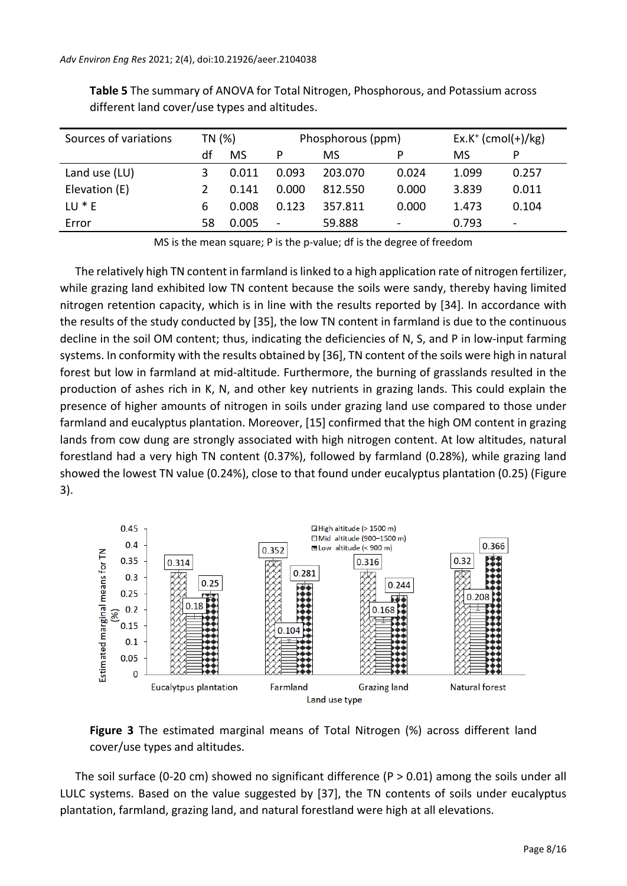| Sources of variations | TN (%) |           | Phosphorous (ppm) |         |       | $Ex.K^+(cmol(+)/kg)$ |                          |
|-----------------------|--------|-----------|-------------------|---------|-------|----------------------|--------------------------|
|                       | df     | <b>MS</b> | P                 | MS      | Þ     | MS                   | Þ                        |
| Land use (LU)         |        | 0.011     | 0.093             | 203.070 | 0.024 | 1.099                | 0.257                    |
| Elevation (E)         |        | 0.141     | 0.000             | 812.550 | 0.000 | 3.839                | 0.011                    |
| $LU * E$              | 6      | 0.008     | 0.123             | 357.811 | 0.000 | 1.473                | 0.104                    |
| Error                 | 58     | 0.005     | $\blacksquare$    | 59.888  |       | 0.793                | $\overline{\phantom{a}}$ |

**Table 5** The summary of ANOVA for Total Nitrogen, Phosphorous, and Potassium across different land cover/use types and altitudes.

MS is the mean square; P is the p-value; df is the degree of freedom

The relatively high TN content in farmland is linked to a high application rate of nitrogen fertilizer, while grazing land exhibited low TN content because the soils were sandy, thereby having limited nitrogen retention capacity, which is in line with the results reported by [34]. In accordance with the results of the study conducted by [35], the low TN content in farmland is due to the continuous decline in the soil OM content; thus, indicating the deficiencies of N, S, and P in low-input farming systems. In conformity with the results obtained by [36], TN content of the soils were high in natural forest but low in farmland at mid-altitude. Furthermore, the burning of grasslands resulted in the production of ashes rich in K, N, and other key nutrients in grazing lands. This could explain the presence of higher amounts of nitrogen in soils under grazing land use compared to those under farmland and eucalyptus plantation. Moreover, [15] confirmed that the high OM content in grazing lands from cow dung are strongly associated with high nitrogen content. At low altitudes, natural forestland had a very high TN content (0.37%), followed by farmland (0.28%), while grazing land showed the lowest TN value (0.24%), close to that found under eucalyptus plantation (0.25) (Figure 3).





The soil surface (0-20 cm) showed no significant difference ( $P > 0.01$ ) among the soils under all LULC systems. Based on the value suggested by [37], the TN contents of soils under eucalyptus plantation, farmland, grazing land, and natural forestland were high at all elevations.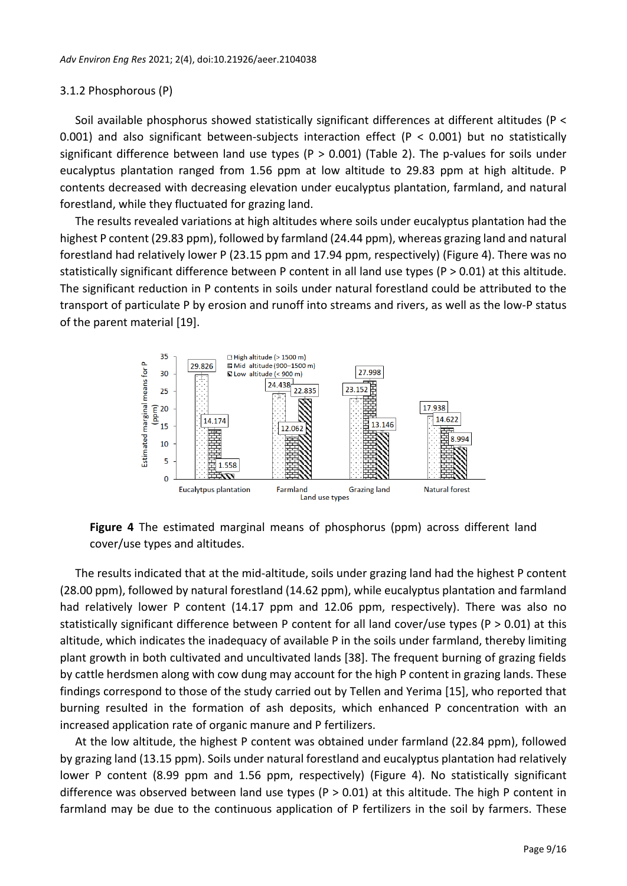#### 3.1.2 Phosphorous (P)

Soil available phosphorus showed statistically significant differences at different altitudes (P < 0.001) and also significant between-subjects interaction effect (P < 0.001) but no statistically significant difference between land use types (P > 0.001) (Table 2). The p-values for soils under eucalyptus plantation ranged from 1.56 ppm at low altitude to 29.83 ppm at high altitude. P contents decreased with decreasing elevation under eucalyptus plantation, farmland, and natural forestland, while they fluctuated for grazing land.

The results revealed variations at high altitudes where soils under eucalyptus plantation had the highest P content (29.83 ppm), followed by farmland (24.44 ppm), whereas grazing land and natural forestland had relatively lower P (23.15 ppm and 17.94 ppm, respectively) (Figure 4). There was no statistically significant difference between P content in all land use types (P > 0.01) at this altitude. The significant reduction in P contents in soils under natural forestland could be attributed to the transport of particulate P by erosion and runoff into streams and rivers, as well as the low-P status of the parent material [19].



**Figure 4** The estimated marginal means of phosphorus (ppm) across different land cover/use types and altitudes.

The results indicated that at the mid-altitude, soils under grazing land had the highest P content (28.00 ppm), followed by natural forestland (14.62 ppm), while eucalyptus plantation and farmland had relatively lower P content (14.17 ppm and 12.06 ppm, respectively). There was also no statistically significant difference between P content for all land cover/use types (P > 0.01) at this altitude, which indicates the inadequacy of available P in the soils under farmland, thereby limiting plant growth in both cultivated and uncultivated lands [38]. The frequent burning of grazing fields by cattle herdsmen along with cow dung may account for the high P content in grazing lands. These findings correspond to those of the study carried out by Tellen and Yerima [15], who reported that burning resulted in the formation of ash deposits, which enhanced P concentration with an increased application rate of organic manure and P fertilizers.

At the low altitude, the highest P content was obtained under farmland (22.84 ppm), followed by grazing land (13.15 ppm). Soils under natural forestland and eucalyptus plantation had relatively lower P content (8.99 ppm and 1.56 ppm, respectively) (Figure 4). No statistically significant difference was observed between land use types ( $P > 0.01$ ) at this altitude. The high P content in farmland may be due to the continuous application of P fertilizers in the soil by farmers. These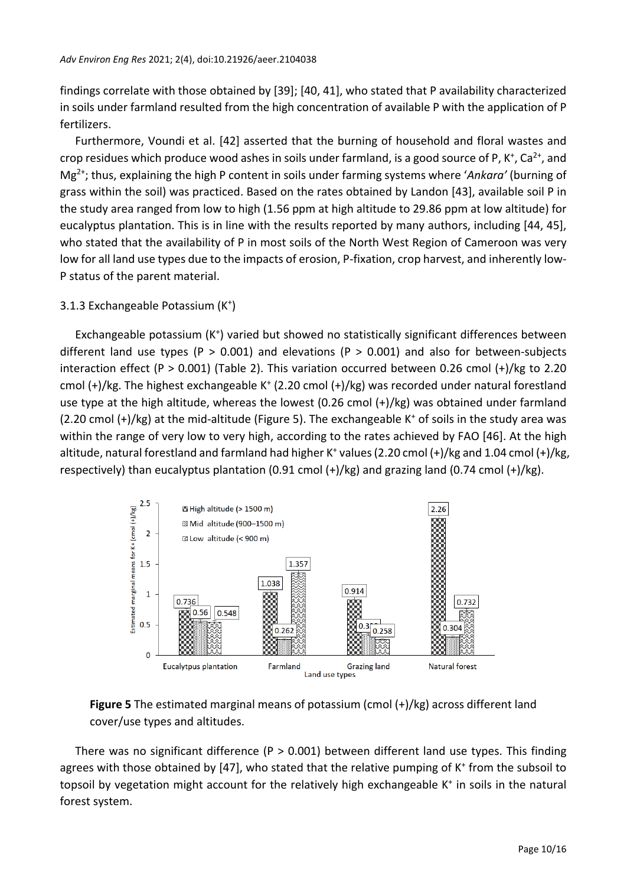findings correlate with those obtained by [39]; [40, 41], who stated that P availability characterized in soils under farmland resulted from the high concentration of available P with the application of P fertilizers.

Furthermore, Voundi et al. [42] asserted that the burning of household and floral wastes and crop residues which produce wood ashes in soils under farmland, is a good source of P, K<sup>+</sup>, Ca<sup>2+</sup>, and Mg2+; thus, explaining the high P content in soils under farming systems where '*Ankara'* (burning of grass within the soil) was practiced. Based on the rates obtained by Landon [43], available soil P in the study area ranged from low to high (1.56 ppm at high altitude to 29.86 ppm at low altitude) for eucalyptus plantation. This is in line with the results reported by many authors, including [44, 45], who stated that the availability of P in most soils of the North West Region of Cameroon was very low for all land use types due to the impacts of erosion, P-fixation, crop harvest, and inherently low-P status of the parent material.

# 3.1.3 Exchangeable Potassium (K<sup>+</sup> )

Exchangeable potassium (K<sup>+</sup>) varied but showed no statistically significant differences between different land use types (P  $>$  0.001) and elevations (P  $>$  0.001) and also for between-subjects interaction effect (P > 0.001) (Table 2). This variation occurred between 0.26 cmol  $(+)/$ kg to 2.20 cmol (+)/kg. The highest exchangeable K<sup>+</sup> (2.20 cmol (+)/kg) was recorded under natural forestland use type at the high altitude, whereas the lowest (0.26 cmol (+)/kg) was obtained under farmland  $(2.20 \text{ cmol } (+)/kg)$  at the mid-altitude (Figure 5). The exchangeable K<sup>+</sup> of soils in the study area was within the range of very low to very high, according to the rates achieved by FAO [46]. At the high altitude, natural forestland and farmland had higher K<sup>+</sup> values (2.20 cmol  $(+)/kg$  and 1.04 cmol  $(+)/kg$ , respectively) than eucalyptus plantation (0.91 cmol  $(+)/kg$ ) and grazing land (0.74 cmol  $(+)/kg$ ).



**Figure 5** The estimated marginal means of potassium (cmol (+)/kg) across different land cover/use types and altitudes.

There was no significant difference ( $P > 0.001$ ) between different land use types. This finding agrees with those obtained by [47], who stated that the relative pumping of K<sup>+</sup> from the subsoil to topsoil by vegetation might account for the relatively high exchangeable K<sup>+</sup> in soils in the natural forest system.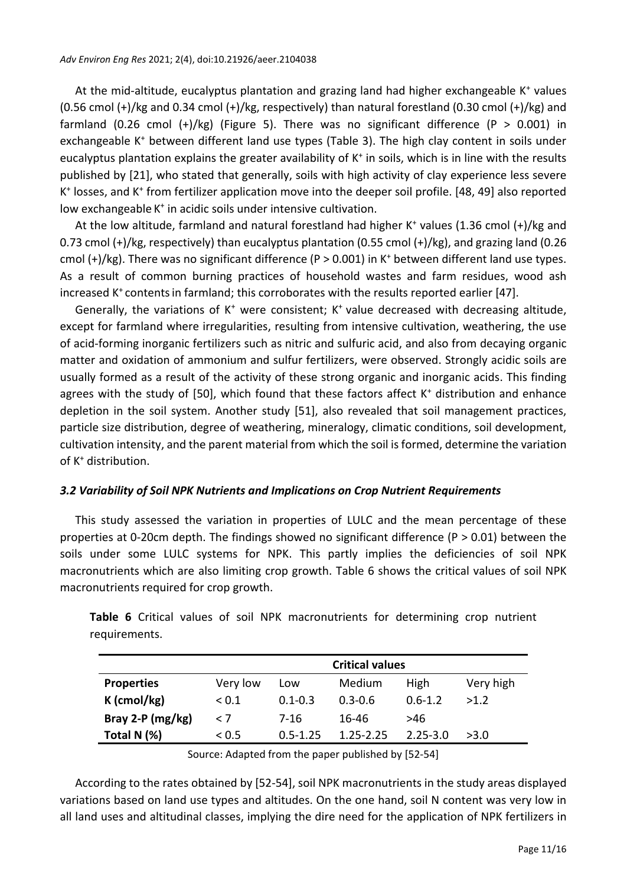At the mid-altitude, eucalyptus plantation and grazing land had higher exchangeable K<sup>+</sup> values (0.56 cmol  $(+)/$ kg and 0.34 cmol  $(+)/$ kg, respectively) than natural forestland (0.30 cmol  $(+)/$ kg) and farmland (0.26 cmol (+)/kg) (Figure 5). There was no significant difference (P > 0.001) in exchangeable K<sup>+</sup> between different land use types (Table 3). The high clay content in soils under eucalyptus plantation explains the greater availability of K<sup>+</sup> in soils, which is in line with the results published by [21], who stated that generally, soils with high activity of clay experience less severe K<sup>+</sup> losses, and K<sup>+</sup> from fertilizer application move into the deeper soil profile. [48, 49] also reported low exchangeable K<sup>+</sup> in acidic soils under intensive cultivation.

At the low altitude, farmland and natural forestland had higher K<sup>+</sup> values (1.36 cmol (+)/kg and 0.73 cmol (+)/kg, respectively) than eucalyptus plantation (0.55 cmol (+)/kg), and grazing land (0.26 cmol  $(+)/kg$ ). There was no significant difference (P > 0.001) in K<sup>+</sup> between different land use types. As a result of common burning practices of household wastes and farm residues, wood ash increased K<sup>+</sup> contents in farmland; this corroborates with the results reported earlier [47].

Generally, the variations of K<sup>+</sup> were consistent; K<sup>+</sup> value decreased with decreasing altitude, except for farmland where irregularities, resulting from intensive cultivation, weathering, the use of acid-forming inorganic fertilizers such as nitric and sulfuric acid, and also from decaying organic matter and oxidation of ammonium and sulfur fertilizers, were observed. Strongly acidic soils are usually formed as a result of the activity of these strong organic and inorganic acids. This finding agrees with the study of [50], which found that these factors affect  $K^+$  distribution and enhance depletion in the soil system. Another study [51], also revealed that soil management practices, particle size distribution, degree of weathering, mineralogy, climatic conditions, soil development, cultivation intensity, and the parent material from which the soil is formed, determine the variation of K<sup>+</sup> distribution.

### *3.2 Variability of Soil NPK Nutrients and Implications on Crop Nutrient Requirements*

This study assessed the variation in properties of LULC and the mean percentage of these properties at 0-20cm depth. The findings showed no significant difference (P > 0.01) between the soils under some LULC systems for NPK. This partly implies the deficiencies of soil NPK macronutrients which are also limiting crop growth. Table 6 shows the critical values of soil NPK macronutrients required for crop growth.

**Table 6** Critical values of soil NPK macronutrients for determining crop nutrient requirements.

|                    | <b>Critical values</b> |              |             |              |           |  |  |
|--------------------|------------------------|--------------|-------------|--------------|-----------|--|--|
| <b>Properties</b>  | Very low               | Low          | Medium      | High         | Very high |  |  |
| $K$ (cmol/kg)      | ${}_{0.1}$             | $0.1 - 0.3$  | $0.3 - 0.6$ | $0.6 - 1.2$  | >1.2      |  |  |
| Bray 2-P $(mg/kg)$ | $\leq 7$               | 7-16         | 16-46       | >46          |           |  |  |
| Total N (%)        | < 0.5                  | $0.5 - 1.25$ | 1.25-2.25   | $2.25 - 3.0$ | >3.0      |  |  |

Source: Adapted from the paper published by [52-54]

According to the rates obtained by [52-54], soil NPK macronutrients in the study areas displayed variations based on land use types and altitudes. On the one hand, soil N content was very low in all land uses and altitudinal classes, implying the dire need for the application of NPK fertilizers in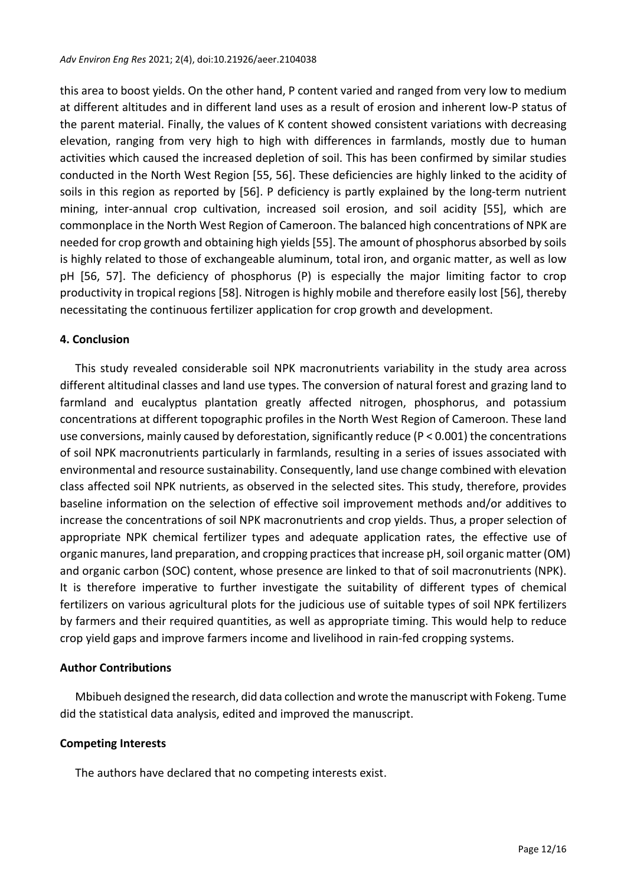this area to boost yields. On the other hand, P content varied and ranged from very low to medium at different altitudes and in different land uses as a result of erosion and inherent low-P status of the parent material. Finally, the values of K content showed consistent variations with decreasing elevation, ranging from very high to high with differences in farmlands, mostly due to human activities which caused the increased depletion of soil. This has been confirmed by similar studies conducted in the North West Region [55, 56]. These deficiencies are highly linked to the acidity of soils in this region as reported by [56]. P deficiency is partly explained by the long-term nutrient mining, inter-annual crop cultivation, increased soil erosion, and soil acidity [55], which are commonplace in the North West Region of Cameroon. The balanced high concentrations of NPK are needed for crop growth and obtaining high yields[55]. The amount of phosphorus absorbed by soils is highly related to those of exchangeable aluminum, total iron, and organic matter, as well as low pH [56, 57]. The deficiency of phosphorus (P) is especially the major limiting factor to crop productivity in tropical regions [58]. Nitrogen is highly mobile and therefore easily lost [56], thereby necessitating the continuous fertilizer application for crop growth and development.

#### **4. Conclusion**

This study revealed considerable soil NPK macronutrients variability in the study area across different altitudinal classes and land use types. The conversion of natural forest and grazing land to farmland and eucalyptus plantation greatly affected nitrogen, phosphorus, and potassium concentrations at different topographic profiles in the North West Region of Cameroon. These land use conversions, mainly caused by deforestation, significantly reduce ( $P < 0.001$ ) the concentrations of soil NPK macronutrients particularly in farmlands, resulting in a series of issues associated with environmental and resource sustainability. Consequently, land use change combined with elevation class affected soil NPK nutrients, as observed in the selected sites. This study, therefore, provides baseline information on the selection of effective soil improvement methods and/or additives to increase the concentrations of soil NPK macronutrients and crop yields. Thus, a proper selection of appropriate NPK chemical fertilizer types and adequate application rates, the effective use of organic manures, land preparation, and cropping practices that increase pH, soil organic matter(OM) and organic carbon (SOC) content, whose presence are linked to that of soil macronutrients (NPK). It is therefore imperative to further investigate the suitability of different types of chemical fertilizers on various agricultural plots for the judicious use of suitable types of soil NPK fertilizers by farmers and their required quantities, as well as appropriate timing. This would help to reduce crop yield gaps and improve farmers income and livelihood in rain-fed cropping systems.

#### **Author Contributions**

Mbibueh designed the research, did data collection and wrote the manuscript with Fokeng. Tume did the statistical data analysis, edited and improved the manuscript.

#### **Competing Interests**

The authors have declared that no competing interests exist.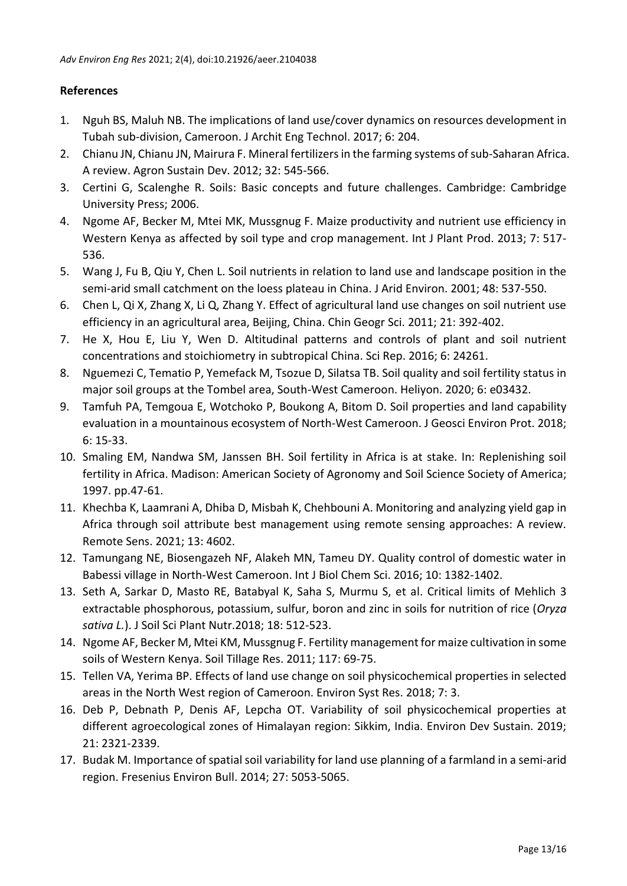## **References**

- 1. Nguh BS, Maluh NB. The implications of land use/cover dynamics on resources development in Tubah sub-division, Cameroon. J Archit Eng Technol. 2017; 6: 204.
- 2. Chianu JN, Chianu JN, Mairura F. Mineral fertilizers in the farming systems of sub-Saharan Africa. A review. Agron Sustain Dev. 2012; 32: 545-566.
- 3. Certini G, Scalenghe R. Soils: Basic concepts and future challenges. Cambridge: Cambridge University Press; 2006.
- 4. Ngome AF, Becker M, Mtei MK, Mussgnug F. Maize productivity and nutrient use efficiency in Western Kenya as affected by soil type and crop management. Int J Plant Prod. 2013; 7: 517- 536.
- 5. Wang J, Fu B, Qiu Y, Chen L. Soil nutrients in relation to land use and landscape position in the semi-arid small catchment on the loess plateau in China. J Arid Environ. 2001; 48: 537-550.
- 6. Chen L, Qi X, Zhang X, Li Q, Zhang Y. Effect of agricultural land use changes on soil nutrient use efficiency in an agricultural area, Beijing, China. Chin Geogr Sci. 2011; 21: 392-402.
- 7. He X, Hou E, Liu Y, Wen D. Altitudinal patterns and controls of plant and soil nutrient concentrations and stoichiometry in subtropical China. Sci Rep. 2016; 6: 24261.
- 8. Nguemezi C, Tematio P, Yemefack M, Tsozue D, Silatsa TB. Soil quality and soil fertility status in major soil groups at the Tombel area, South-West Cameroon. Heliyon. 2020; 6: e03432.
- 9. Tamfuh PA, Temgoua E, Wotchoko P, Boukong A, Bitom D. Soil properties and land capability evaluation in a mountainous ecosystem of North-West Cameroon. J Geosci Environ Prot. 2018; 6: 15-33.
- 10. Smaling EM, Nandwa SM, Janssen BH. Soil fertility in Africa is at stake. In: Replenishing soil fertility in Africa. Madison: American Society of Agronomy and Soil Science Society of America; 1997. pp.47-61.
- 11. Khechba K, Laamrani A, Dhiba D, Misbah K, Chehbouni A. Monitoring and analyzing yield gap in Africa through soil attribute best management using remote sensing approaches: A review. Remote Sens. 2021; 13: 4602.
- 12. Tamungang NE, Biosengazeh NF, Alakeh MN, Tameu DY. Quality control of domestic water in Babessi village in North-West Cameroon. Int J Biol Chem Sci. 2016; 10: 1382-1402.
- 13. Seth A, Sarkar D, Masto RE, Batabyal K, Saha S, Murmu S, et al. Critical limits of Mehlich 3 extractable phosphorous, potassium, sulfur, boron and zinc in soils for nutrition of rice (*Oryza sativa L.*). J Soil Sci Plant Nutr.2018; 18: 512-523.
- 14. Ngome AF, Becker M, Mtei KM, Mussgnug F. Fertility management for maize cultivation in some soils of Western Kenya. Soil Tillage Res. 2011; 117: 69-75.
- 15. Tellen VA, Yerima BP. Effects of land use change on soil physicochemical properties in selected areas in the North West region of Cameroon. Environ Syst Res. 2018; 7: 3.
- 16. Deb P, Debnath P, Denis AF, Lepcha OT. Variability of soil physicochemical properties at different agroecological zones of Himalayan region: Sikkim, India. Environ Dev Sustain. 2019; 21: 2321-2339.
- 17. Budak M. Importance of spatial soil variability for land use planning of a farmland in a semi-arid region. Fresenius Environ Bull. 2014; 27: 5053-5065.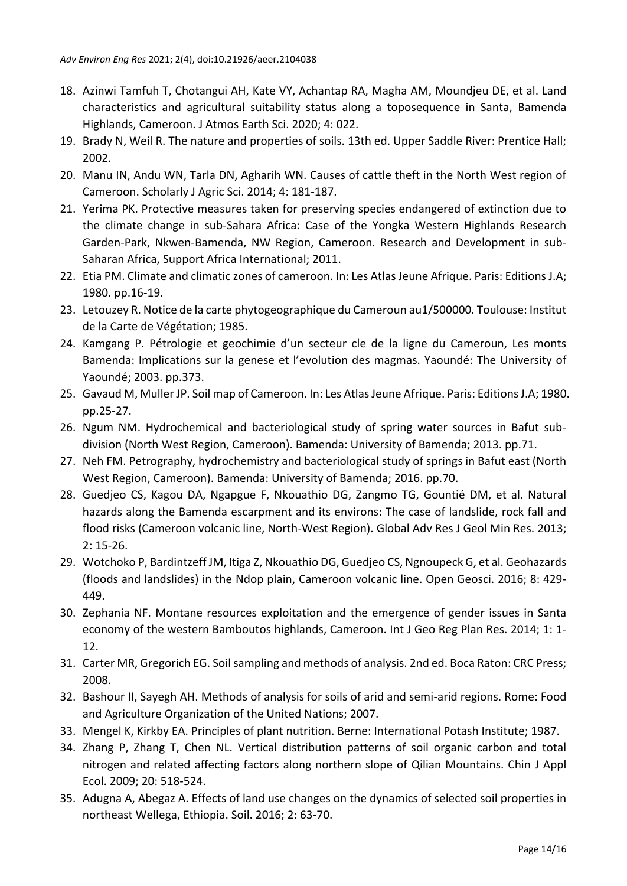- 18. Azinwi Tamfuh T, Chotangui AH, Kate VY, Achantap RA, Magha AM, Moundjeu DE, et al. Land characteristics and agricultural suitability status along a toposequence in Santa, Bamenda Highlands, Cameroon. J Atmos Earth Sci. 2020; 4: 022.
- 19. Brady N, Weil R. The nature and properties of soils. 13th ed. Upper Saddle River: Prentice Hall; 2002.
- 20. Manu IN, Andu WN, Tarla DN, Agharih WN. Causes of cattle theft in the North West region of Cameroon. Scholarly J Agric Sci. 2014; 4: 181-187.
- 21. Yerima PK. Protective measures taken for preserving species endangered of extinction due to the climate change in sub-Sahara Africa: Case of the Yongka Western Highlands Research Garden-Park, Nkwen-Bamenda, NW Region, Cameroon. Research and Development in sub-Saharan Africa, Support Africa International; 2011.
- 22. Etia PM. Climate and climatic zones of cameroon. In: Les Atlas Jeune Afrique. Paris: Editions J.A; 1980. pp.16-19.
- 23. Letouzey R. Notice de la carte phytogeographique du Cameroun au1/500000. Toulouse: Institut de la Carte de Végétation; 1985.
- 24. Kamgang P. Pétrologie et geochimie d'un secteur cle de la ligne du Cameroun, Les monts Bamenda: Implications sur la genese et l'evolution des magmas. Yaoundé: The University of Yaoundé; 2003. pp.373.
- 25. Gavaud M, Muller JP. Soil map of Cameroon. In: Les Atlas Jeune Afrique. Paris: Editions J.A; 1980. pp.25-27.
- 26. Ngum NM. Hydrochemical and bacteriological study of spring water sources in Bafut subdivision (North West Region, Cameroon). Bamenda: University of Bamenda; 2013. pp.71.
- 27. Neh FM. Petrography, hydrochemistry and bacteriological study of springs in Bafut east (North West Region, Cameroon). Bamenda: University of Bamenda; 2016. pp.70.
- 28. Guedjeo CS, Kagou DA, Ngapgue F, Nkouathio DG, Zangmo TG, Gountié DM, et al. Natural hazards along the Bamenda escarpment and its environs: The case of landslide, rock fall and flood risks (Cameroon volcanic line, North-West Region). Global Adv Res J Geol Min Res. 2013; 2: 15-26.
- 29. Wotchoko P, Bardintzeff JM, Itiga Z, Nkouathio DG, Guedjeo CS, Ngnoupeck G, et al. Geohazards (floods and landslides) in the Ndop plain, Cameroon volcanic line. Open Geosci. 2016; 8: 429- 449.
- 30. Zephania NF. Montane resources exploitation and the emergence of gender issues in Santa economy of the western Bamboutos highlands, Cameroon. Int J Geo Reg Plan Res. 2014; 1: 1- 12.
- 31. Carter MR, Gregorich EG. Soil sampling and methods of analysis. 2nd ed. Boca Raton: CRC Press; 2008.
- 32. Bashour II, Sayegh AH. Methods of analysis for soils of arid and semi-arid regions. Rome: Food and Agriculture Organization of the United Nations; 2007.
- 33. Mengel K, Kirkby EA. Principles of plant nutrition. Berne: International Potash Institute; 1987.
- 34. Zhang P, Zhang T, Chen NL. Vertical distribution patterns of soil organic carbon and total nitrogen and related affecting factors along northern slope of Qilian Mountains. Chin J Appl Ecol. 2009; 20: 518-524.
- 35. Adugna A, Abegaz A. Effects of land use changes on the dynamics of selected soil properties in northeast Wellega, Ethiopia. Soil. 2016; 2: 63-70.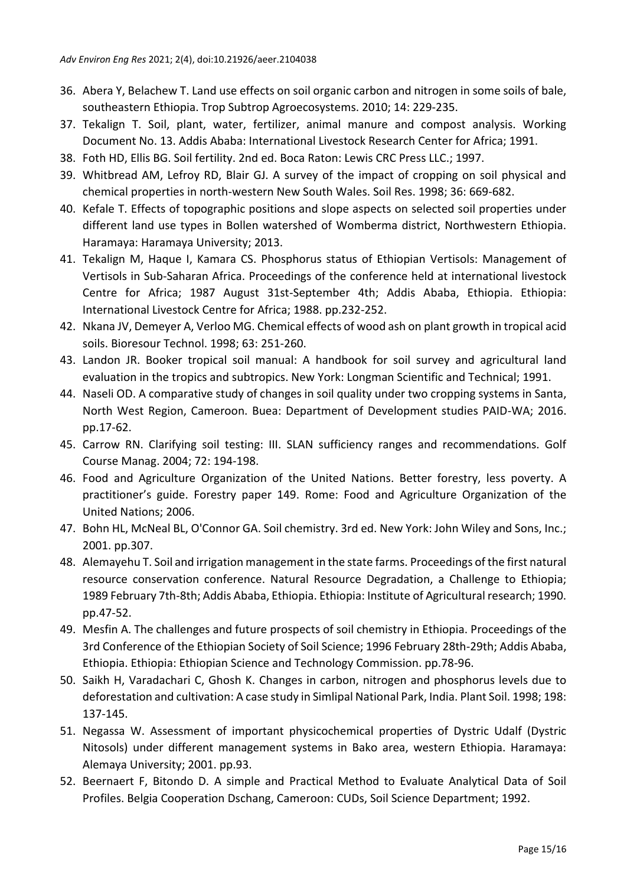- 36. Abera Y, Belachew T. Land use effects on soil organic carbon and nitrogen in some soils of bale, southeastern Ethiopia. Trop Subtrop Agroecosystems. 2010; 14: 229-235.
- 37. Tekalign T. Soil, plant, water, fertilizer, animal manure and compost analysis. Working Document No. 13. Addis Ababa: International Livestock Research Center for Africa; 1991.
- 38. Foth HD, Ellis BG. Soil fertility. 2nd ed. Boca Raton: Lewis CRC Press LLC.; 1997.
- 39. Whitbread AM, Lefroy RD, Blair GJ. A survey of the impact of cropping on soil physical and chemical properties in north-western New South Wales. Soil Res. 1998; 36: 669-682.
- 40. Kefale T. Effects of topographic positions and slope aspects on selected soil properties under different land use types in Bollen watershed of Womberma district, Northwestern Ethiopia. Haramaya: Haramaya University; 2013.
- 41. Tekalign M, Haque I, Kamara CS. Phosphorus status of Ethiopian Vertisols: Management of Vertisols in Sub-Saharan Africa. Proceedings of the conference held at international livestock Centre for Africa; 1987 August 31st-September 4th; Addis Ababa, Ethiopia. Ethiopia: International Livestock Centre for Africa; 1988. pp.232-252.
- 42. Nkana JV, Demeyer A, Verloo MG. Chemical effects of wood ash on plant growth in tropical acid soils. Bioresour Technol. 1998; 63: 251-260.
- 43. Landon JR. Booker tropical soil manual: A handbook for soil survey and agricultural land evaluation in the tropics and subtropics. New York: Longman Scientific and Technical; 1991.
- 44. Naseli OD. A comparative study of changes in soil quality under two cropping systems in Santa, North West Region, Cameroon. Buea: Department of Development studies PAID-WA; 2016. pp.17-62.
- 45. Carrow RN. Clarifying soil testing: III. SLAN sufficiency ranges and recommendations. Golf Course Manag. 2004; 72: 194-198.
- 46. Food and Agriculture Organization of the United Nations. Better forestry, less poverty. A practitioner's guide. Forestry paper 149. Rome: Food and Agriculture Organization of the United Nations; 2006.
- 47. Bohn HL, McNeal BL, O'Connor GA. Soil chemistry. 3rd ed. New York: John Wiley and Sons, Inc.; 2001. pp.307.
- 48. Alemayehu T. Soil and irrigation management in the state farms. Proceedings of the first natural resource conservation conference. Natural Resource Degradation, a Challenge to Ethiopia; 1989 February 7th-8th; Addis Ababa, Ethiopia. Ethiopia: Institute of Agricultural research; 1990. pp.47-52.
- 49. Mesfin A. The challenges and future prospects of soil chemistry in Ethiopia. Proceedings of the 3rd Conference of the Ethiopian Society of Soil Science; 1996 February 28th-29th; Addis Ababa, Ethiopia. Ethiopia: Ethiopian Science and Technology Commission. pp.78-96.
- 50. Saikh H, Varadachari C, Ghosh K. Changes in carbon, nitrogen and phosphorus levels due to deforestation and cultivation: A case study in Simlipal National Park, India. Plant Soil. 1998; 198: 137-145.
- 51. Negassa W. Assessment of important physicochemical properties of Dystric Udalf (Dystric Nitosols) under different management systems in Bako area, western Ethiopia. Haramaya: Alemaya University; 2001. pp.93.
- 52. Beernaert F, Bitondo D. A simple and Practical Method to Evaluate Analytical Data of Soil Profiles. Belgia Cooperation Dschang, Cameroon: CUDs, Soil Science Department; 1992.